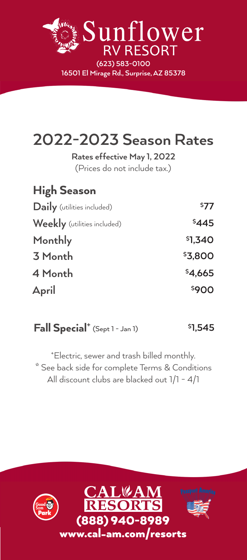

| 2022-2023 Season Rates                                      |                     |
|-------------------------------------------------------------|---------------------|
| Rates effective May 1, 2022<br>(Prices do not include tax.) |                     |
| <b>High Season</b>                                          |                     |
| <b>Daily</b> (utilities included)                           | <sup>\$77</sup>     |
| <b>Weekly</b> (utilities included)                          | \$445               |
| Monthly                                                     | \$1,340             |
| 3 Month                                                     | \$3,800             |
| 4 Month                                                     | <sup>\$</sup> 4,665 |
| April                                                       | \$900               |

#### **Fall Special**<sup>+</sup> (Sept 1 - Jan 1) **1,545**

**\*** See back side for complete Terms & Conditions + Electric, sewer and trash billed monthly. All discount clubs are blacked out 1/1 - 4/1